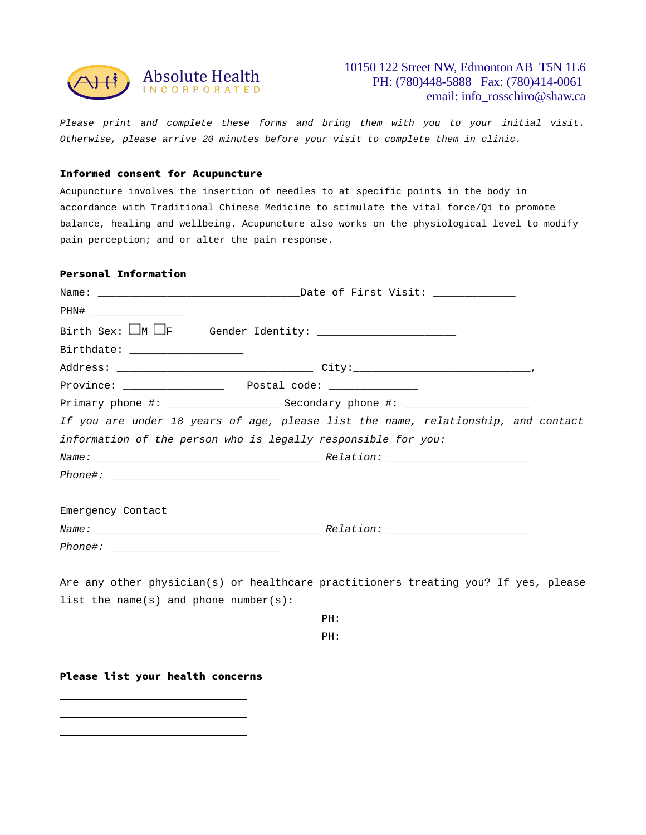

*Please print and complete these forms and bring them with you to your initial visit. Otherwise, please arrive 20 minutes before your visit to complete them in clinic.* 

### Informed consent for Acupuncture

Acupuncture involves the insertion of needles to at specific points in the body in accordance with Traditional Chinese Medicine to stimulate the vital force/Qi to promote balance, healing and wellbeing. Acupuncture also works on the physiological level to modify pain perception; and or alter the pain response.

## Personal Information

| PHN# _____________________            |                                                                                     |  |  |
|---------------------------------------|-------------------------------------------------------------------------------------|--|--|
|                                       | Birth Sex: $\Box$ M $\Box$ F Gender Identity: $\Box$                                |  |  |
| Birthdate: ___________________        |                                                                                     |  |  |
|                                       |                                                                                     |  |  |
|                                       |                                                                                     |  |  |
|                                       |                                                                                     |  |  |
|                                       | If you are under 18 years of age, please list the name, relationship, and contact   |  |  |
|                                       | information of the person who is legally responsible for you:                       |  |  |
|                                       |                                                                                     |  |  |
|                                       |                                                                                     |  |  |
| Emergency Contact                     |                                                                                     |  |  |
|                                       |                                                                                     |  |  |
|                                       |                                                                                     |  |  |
|                                       | Are any other physician(s) or healthcare practitioners treating you? If yes, please |  |  |
| list the name(s) and phone number(s): |                                                                                     |  |  |
|                                       |                                                                                     |  |  |

PH:

#### Please list your health concerns

 $\overline{a}$  $\overline{a}$  $\overline{a}$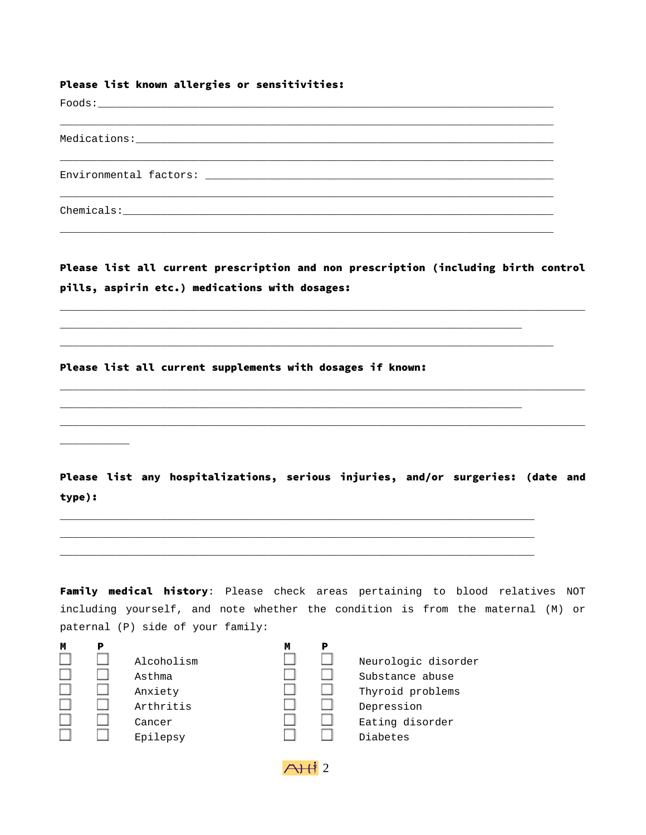# Please list known allergies or sensitivities:

Please list all current prescription and non prescription (including birth control pills, aspirin etc.) medications with dosages:

\_\_\_\_\_\_\_\_\_\_\_\_\_\_\_\_\_\_\_\_\_\_\_\_\_\_\_\_\_\_\_\_\_\_\_\_\_\_\_\_\_\_\_\_\_\_\_\_\_\_\_\_\_\_\_\_\_\_\_\_\_\_\_\_\_\_\_\_\_\_\_\_\_\_\_\_\_\_\_\_\_\_\_

 $\_$  , and the set of the set of the set of the set of the set of the set of the set of the set of the set of the set of the set of the set of the set of the set of the set of the set of the set of the set of the set of th

\_\_\_\_\_\_\_\_\_\_\_\_\_\_\_\_\_\_\_\_\_\_\_\_\_\_\_\_\_\_\_\_\_\_\_\_\_\_\_\_\_\_\_\_\_\_\_\_\_\_\_\_\_\_\_\_\_\_\_\_\_\_\_\_\_\_\_\_\_\_\_\_\_\_\_\_\_\_\_\_\_\_\_

 $\_$  , and the set of the set of the set of the set of the set of the set of the set of the set of the set of the set of the set of the set of the set of the set of the set of the set of the set of the set of the set of th

\_\_\_\_\_\_\_\_\_\_\_\_\_\_\_\_\_\_\_\_\_\_\_\_\_\_\_\_\_\_\_\_\_\_\_\_\_\_\_\_\_\_\_\_\_\_\_\_\_\_\_\_\_\_\_\_\_\_\_\_\_\_\_\_\_\_\_\_\_\_\_\_\_

\_\_\_\_\_\_\_\_\_\_\_\_\_\_\_\_\_\_\_\_\_\_\_\_\_\_\_\_\_\_\_\_\_\_\_\_\_\_\_\_\_\_\_\_\_\_\_\_\_\_\_\_\_\_\_\_\_\_\_\_\_\_\_\_\_\_\_\_\_\_\_\_\_\_\_ \_\_\_\_\_\_\_\_\_\_\_\_\_\_\_\_\_\_\_\_\_\_\_\_\_\_\_\_\_\_\_\_\_\_\_\_\_\_\_\_\_\_\_\_\_\_\_\_\_\_\_\_\_\_\_\_\_\_\_\_\_\_\_\_\_\_\_\_\_\_\_\_\_\_\_ \_\_\_\_\_\_\_\_\_\_\_\_\_\_\_\_\_\_\_\_\_\_\_\_\_\_\_\_\_\_\_\_\_\_\_\_\_\_\_\_\_\_\_\_\_\_\_\_\_\_\_\_\_\_\_\_\_\_\_\_\_\_\_\_\_\_\_\_\_\_\_\_\_\_\_

\_\_\_\_\_\_\_\_\_\_\_\_\_\_\_\_\_\_\_\_\_\_\_\_\_\_\_\_\_\_\_\_\_\_\_\_\_\_\_\_\_\_\_\_\_\_\_\_\_\_\_\_\_\_\_\_\_\_\_\_\_\_\_\_\_\_\_\_\_\_\_\_\_\_\_\_\_\_

Please list all current supplements with dosages if known:

Please list any hospitalizations, serious injuries, and/or surgeries: (date and type):

Family medical history: Please check areas pertaining to blood relatives NOT including yourself, and note whether the condition is from the maternal (M) or paternal (P) side of your family:

| M |  |
|---|--|
|   |  |
|   |  |
|   |  |
|   |  |
|   |  |
|   |  |

 $\overline{\phantom{a}}$ 

| Μ | D |                                                        | Μ | P |                                                                                             |
|---|---|--------------------------------------------------------|---|---|---------------------------------------------------------------------------------------------|
|   |   | Alcoholism<br>Asthma<br>Anxiety<br>Arthritis<br>Cancer |   |   | Neurologic disorder<br>Substance abuse<br>Thyroid problems<br>Depression<br>Eating disorder |
|   |   | Epilepsy                                               |   |   | Diabetes                                                                                    |
|   |   |                                                        |   |   |                                                                                             |

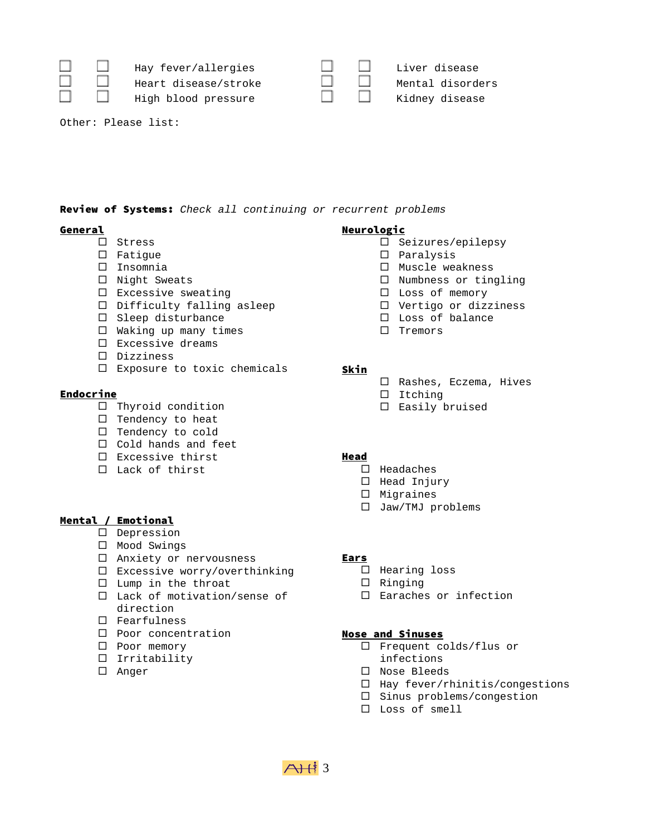|  | $\Box$ Hay fever/allergies<br>Heart disease/stroke |        | $\Box$ Liver disease<br>Mental disorders |
|--|----------------------------------------------------|--------|------------------------------------------|
|  | High blood pressure                                | $\Box$ | Kidney disease                           |

Other: Please list:

# Review of Systems: *Check all continuing or recurrent problems*

## General

- $\square$  Stress
- $\square$  Fatigue
- Insomnia
- $\square$  Night Sweats
- $\square$  Excessive sweating
- Difficulty falling asleep
- $\square$  Sleep disturbance
- $\Box$  Waking up many times
- $\square$  Excessive dreams
- Dizziness
- Exposure to toxic chemicals

# **Endocrine**

- $\Box$  Thyroid condition
- $\Box$  Tendency to heat
- $\Box$  Tendency to cold
- $\Box$  Cold hands and feet
- $\square$  Excessive thirst
- □ Lack of thirst

# Mental / Emotional

- Depression
- $\square$  Mood Swings
- $\square$  Anxiety or nervousness
- □ Excessive worry/overthinking
- $\square$  Lump in the throat
- □ Lack of motivation/sense of direction
- Fearfulness
- □ Poor concentration
- □ Poor memory
- $\Box$  Irritability
- Anger

## **Neurologic**

- $\square$  Seizures/epilepsy
- Paralysis
- $\square$  Muscle weakness
- $\square$  Numbness or tingling
- □ Loss of memory
- $\square$  Vertigo or dizziness
- □ Loss of balance
- $\square$  Tremors

### Skin

- □ Rashes, Eczema, Hives
- $\square$  Itching
- $\square$  Easily bruised

# Head

- $\square$  Headaches
- $\Box$  Head Injury
- $\square$  Migraines
- □ Jaw/TMJ problems

#### Ears

 $A+13$ 

- $\Box$  Hearing loss
- $\square$  Ringing
- □ Earaches or infection

#### Nose and Sinuses

- □ Frequent colds/flus or
- infections
- □ Nose Bleeds
- $\Box$  Hay fever/rhinitis/congestions
- $\square$  Sinus problems/congestion
- Loss of smell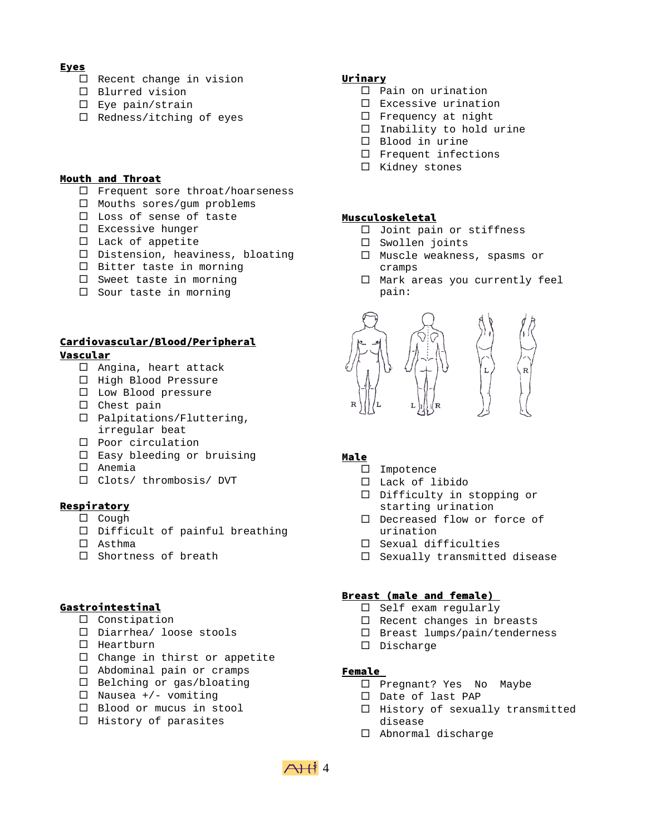### Eyes

- $\Box$  Recent change in vision
- $\square$  Blurred vision
- □ Eye pain/strain
- $\Box$  Redness/itching of eyes

#### Mouth and Throat

- □ Frequent sore throat/hoarseness
- $\Box$  Mouths sores/gum problems
- □ Loss of sense of taste
- $\square$  Excessive hunger
- $\Box$  Lack of appetite
- Distension, heaviness, bloating
- $\Box$  Bitter taste in morning
- $\square$  Sweet taste in morning
- $\Box$  Sour taste in morning

# Cardiovascular/Blood/Peripheral Vascular

- $\Box$  Angina, heart attack
- $\Box$  High Blood Pressure
- $\square$  Low Blood pressure
- $\square$  Chest pain
- □ Palpitations/Fluttering, irregular beat
- $\square$  Poor circulation
- $\square$  Easy bleeding or bruising
- $\square$  Anemia
- □ Clots/ thrombosis/ DVT

## **Respiratory**

- $\square$  Cough
- $\Box$  Difficult of painful breathing
- Asthma
- $\square$  Shortness of breath

#### Gastrointestinal

- $\square$  Constipation
- Diarrhea/ loose stools
- $\Box$  Heartburn
- $\Box$  Change in thirst or appetite
- □ Abdominal pain or cramps
- $\square$  Belching or gas/bloating
- $\square$  Nausea +/- vomiting
- □ Blood or mucus in stool
- $\Box$  History of parasites

# Urinary

- $\Box$  Pain on urination
- Excessive urination
- $\square$  Frequency at night
- $\Box$  Inability to hold urine
- □ Blood in urine
- $\square$  Frequent infections
- $\square$  Kidney stones

## Musculoskeletal

- □ Joint pain or stiffness
- Swollen joints
- □ Muscle weakness, spasms or cramps
- $\Box$  Mark areas you currently feel pain:



# Male

- □ Impotence
- Lack of libido
- Difficulty in stopping or starting urination
- D Decreased flow or force of urination
- $\square$  Sexual difficulties
- $\Box$  Sexually transmitted disease

#### Breast (male and female)

- $\square$  Self exam regularly
- $\Box$  Recent changes in breasts
- □ Breast lumps/pain/tenderness
- Discharge

# Female

- □ Pregnant? Yes No Maybe
- Date of last PAP
- $\Box$  History of sexually transmitted disease
- $\Box$  Abnormal discharge

 $\overrightarrow{A}$  $\overrightarrow{H}$  4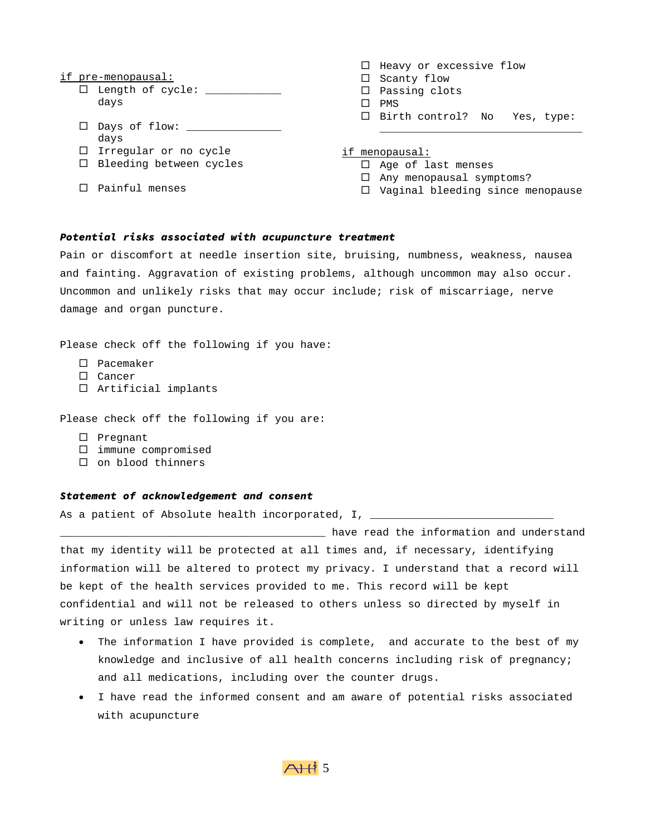#### if pre-menopausal:

- $\square$  Length of cycle:  $\_\_\_\_\_\_\_\_\_\_\_\_\_\_$ days
- □ Days of flow: \_\_\_\_\_\_\_\_\_\_\_\_\_\_\_\_\_\_ days
- $\Box$  Irregular or no cycle
- $\Box$  Bleeding between cycles
- $\square$  Painful menses
- $\Box$  Heavy or excessive flow  $\square$  Scanty flow  $\square$  Passing clots  $\square$  PMS □ Birth control? No Yes, type:
- if menopausal:
	- $\Box$  Age of last menses
	- $\Box$  Any menopausal symptoms?
	- □ Vaginal bleeding since menopause

\_\_\_\_\_\_\_\_\_\_\_\_\_\_\_\_\_\_\_\_\_\_\_\_\_\_\_\_\_\_\_\_

### *Potential risks associated with acupuncture treatment*

Pain or discomfort at needle insertion site, bruising, numbness, weakness, nausea and fainting. Aggravation of existing problems, although uncommon may also occur. Uncommon and unlikely risks that may occur include; risk of miscarriage, nerve damage and organ puncture.

Please check off the following if you have:

- □ Pacemaker
- $\square$  Cancer
- $\Box$  Artificial implants

Please check off the following if you are:

- $\square$  Pregnant
- $\square$  immune compromised
- $\square$  on blood thinners

#### *Statement of acknowledgement and consent*

As a patient of Absolute health incorporated, I, \_\_\_\_\_\_\_\_\_\_\_\_\_\_\_\_\_\_\_\_\_\_\_\_\_\_\_\_\_\_\_

\_\_\_\_\_\_\_\_\_\_\_\_\_\_\_\_\_\_\_\_\_\_\_\_\_\_\_\_\_\_\_\_\_\_\_\_\_\_\_\_\_\_ have read the information and understand that my identity will be protected at all times and, if necessary, identifying information will be altered to protect my privacy. I understand that a record will be kept of the health services provided to me. This record will be kept confidential and will not be released to others unless so directed by myself in writing or unless law requires it.

- The information I have provided is complete, and accurate to the best of my knowledge and inclusive of all health concerns including risk of pregnancy; and all medications, including over the counter drugs.
- I have read the informed consent and am aware of potential risks associated with acupuncture